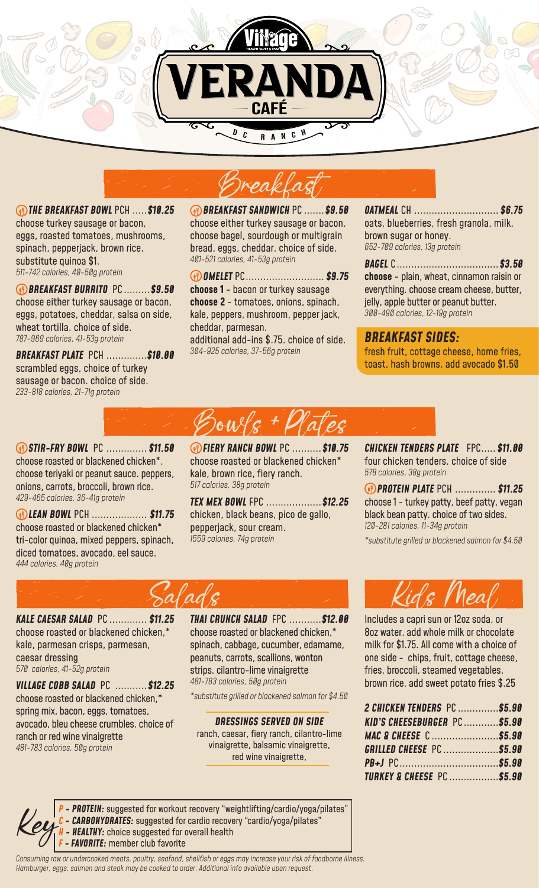



 *THE BREAKFAST BOWL* PCH .....*\$10.25* choose turkey sausage or bacon, eggs, roasted tomatoes, mushrooms, spinach, pepperjack, brown rice. substitute quinoa \$1. *511-742 calories, 40-50g protein*

 *BREAKFAST BURRITO* PC .........*\$9.50* choose either turkey sausage or bacon, eggs, potatoes, cheddar, salsa on side, wheat tortilla. choice of side. *787-969 calories, 41-53g protein*

*BREAKFAST PLATE* PCH ..............*\$10.00* scrambled eggs, choice of turkey sausage or bacon. choice of side. *233-818 calories, 21-71g protein*

 *BREAKFAST SANDWICH* PC .......*\$9.50* choose either turkey sausage or bacon. choose bagel, sourdough or multigrain bread, eggs, cheddar. choice of side. *401-521 calories, 41-53g protein*

 *OMELET* PC........................... *\$9.75* **choose 1** - bacon or turkey sausage **choose 2** - tomatoes, onions, spinach, kale, peppers, mushroom, pepper jack, cheddar, parmesan. additional add-ins \$.75. choice of side. *304-925 calories, 37-56g protein*

*OATMEAL* CH ............................. *\$6.75* oats, blueberries, fresh granola, milk, brown sugar or honey. *652-709 calories, 13g protein* 

*BAGEL* C...................................*\$3.50* **choose** - plain, wheat, cinnamon raisin or everything. choose cream cheese, butter, jelly, apple butter or peanut butter. *300-490 calories, 12-19g protein*

*BREAKFAST SIDES:*  fresh fruit, cottage cheese, home fries, toast, hash browns. add avocado \$1.50

 *STIR-FRY BOWL* PC .............. *\$11.50* choose roasted or blackened chicken\*. choose teriyaki or peanut sauce. peppers, onions, carrots, broccoli, brown rice. *429-465 calories, 36-41g protein*

 *LEAN BOWL* PCH ................... *\$11.75* choose roasted or blackened chicken\* tri-color quinoa, mixed peppers, spinach, diced tomatoes, avocado, eel sauce. *444 calories, 40g protein* 

 *FIERY RANCH BOWL* PC ..........*\$10.75* choose roasted or blackened chicken\* kale, brown rice, fiery ranch. *517 calories, 38g protein*

 $\omega$ ulk +  $\mathcal{U}$ a

*TEX MEX BOWL* FPC ...................*\$12.25* chicken, black beans, pico de gallo, pepperjack, sour cream. *1559 calories, 74g protein*

*CHICKEN TENDERS PLATE* FPC..... *\$11.00*  four chicken tenders. choice of side *578 calories, 38g protein*

 *PROTEIN PLATE* PCH .............. *\$11.25* choose 1 - turkey patty, beef patty, vegan black bean patty. choice of two sides. *120-281 calories, 11-34g protein* 

*\*substitute grilled or blackened salmon for \$4.50*



choose roasted or blackened chicken,\* kale, parmesan crisps, parmesan, caesar dressing *570 calories, 41-52g protein*

*VILLAGE COBB SALAD* PC ...........*\$12.25* choose roasted or blackened chicken,\* spring mix, bacon, eggs, tomatoes, avocado, bleu cheese crumbles. choice of ranch or red wine vinaigrette *481-783 calories, 50g protein*

*THAI CRUNCH SALAD* FPC ...........*\$12.00* choose roasted or blackened chicken,\* spinach, cabbage, cucumber, edamame, peanuts, carrots, scallions, wonton strips. cilantro-lime vinaigrette *481-783 calories, 50g protein*

*\*substitute grilled or blackened salmon for \$4.50*

*DRESSINGS SERVED ON SIDE*  ranch, caesar, fiery ranch, cilantro-lime vinaigrette, balsamic vinaigrette, red wine vinaigrette,



Includes a capri sun or 12oz soda, or 8oz water. add whole milk or chocolate milk for \$1.75. All come with a choice of one side - chips, fruit, cottage cheese, fries, broccoli, steamed vegetables, brown rice. add sweet potato fries \$.25

| 2 CHICKEN TENDERS PC \$5.90          |  |
|--------------------------------------|--|
| KID'S CHEESEBURGER PC\$5.90          |  |
| MAC & CHEESE C \$5.90                |  |
| <b>GRILLED CHEESE PC \$5.90</b>      |  |
|                                      |  |
| <b>TURKEY &amp; CHEESE PC \$5.90</b> |  |

*P - PROTEIN:* suggested for workout recovery "weightlifting/cardio/yoga/pilates" *C - CARBOHYDRATES:* suggested for cardio recovery "cardio/yoga/pilates"<br> *F - FAVORITE:* member club favorite<br> *F - FAVORITE:* member club favorite *H - HEALTHY:* choice suggested for overall health

*Consuming raw or undercooked meats, poultry, seafood, shellfish or eggs may increase your risk of foodborne illness. Hamburger, eggs, salmon and steak may be cooked to order. Additional info available upon request.*